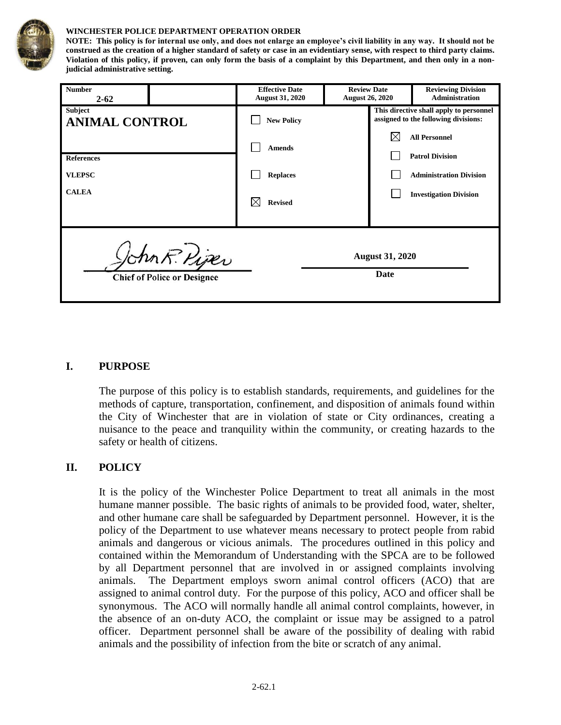

#### **WINCHESTER POLICE DEPARTMENT OPERATION ORDER**

**NOTE: This policy is for internal use only, and does not enlarge an employee's civil liability in any way. It should not be construed as the creation of a higher standard of safety or case in an evidentiary sense, with respect to third party claims. Violation of this policy, if proven, can only form the basis of a complaint by this Department, and then only in a nonjudicial administrative setting.**

| <b>Number</b><br>$2 - 62$                           |  | <b>Effective Date</b><br><b>August 31, 2020</b> | <b>Review Date</b><br><b>August 26, 2020</b> |    | <b>Reviewing Division</b><br><b>Administration</b>                              |
|-----------------------------------------------------|--|-------------------------------------------------|----------------------------------------------|----|---------------------------------------------------------------------------------|
| <b>Subject</b><br><b>ANIMAL CONTROL</b>             |  | <b>New Policy</b>                               |                                              |    | This directive shall apply to personnel<br>assigned to the following divisions: |
|                                                     |  | <b>Amends</b>                                   |                                              | IX | <b>All Personnel</b>                                                            |
| <b>References</b>                                   |  |                                                 |                                              |    | <b>Patrol Division</b>                                                          |
| <b>VLEPSC</b>                                       |  | <b>Replaces</b>                                 |                                              |    | <b>Administration Division</b>                                                  |
| <b>CALEA</b>                                        |  | <b>Revised</b>                                  |                                              |    | <b>Investigation Division</b>                                                   |
| John R. Piper<br><b>Chief of Police or Designee</b> |  |                                                 | <b>August 31, 2020</b><br>Date               |    |                                                                                 |

#### **I. PURPOSE**

The purpose of this policy is to establish standards, requirements, and guidelines for the methods of capture, transportation, confinement, and disposition of animals found within the City of Winchester that are in violation of state or City ordinances, creating a nuisance to the peace and tranquility within the community, or creating hazards to the safety or health of citizens.

### **II. POLICY**

It is the policy of the Winchester Police Department to treat all animals in the most humane manner possible. The basic rights of animals to be provided food, water, shelter, and other humane care shall be safeguarded by Department personnel. However, it is the policy of the Department to use whatever means necessary to protect people from rabid animals and dangerous or vicious animals.The procedures outlined in this policy and contained within the Memorandum of Understanding with the SPCA are to be followed by all Department personnel that are involved in or assigned complaints involving animals. The Department employs sworn animal control officers (ACO) that are assigned to animal control duty. For the purpose of this policy, ACO and officer shall be synonymous. The ACO will normally handle all animal control complaints, however, in the absence of an on-duty ACO, the complaint or issue may be assigned to a patrol officer. Department personnel shall be aware of the possibility of dealing with rabid animals and the possibility of infection from the bite or scratch of any animal.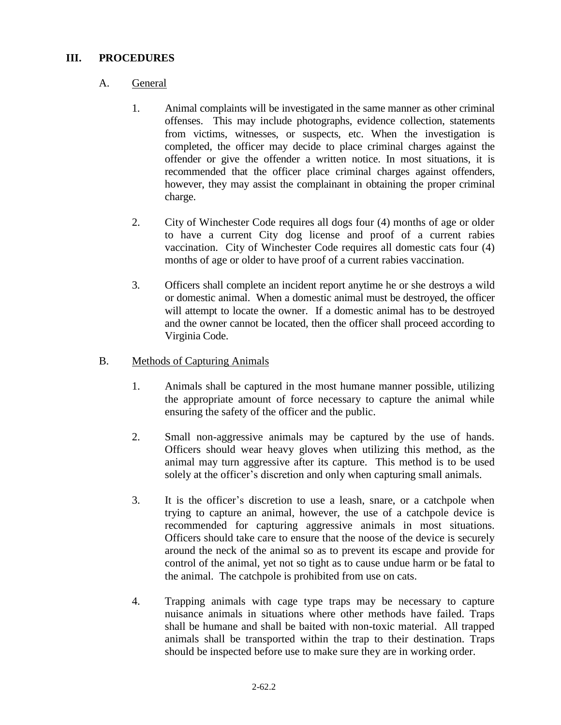## **III. PROCEDURES**

## A. General

- 1. Animal complaints will be investigated in the same manner as other criminal offenses. This may include photographs, evidence collection, statements from victims, witnesses, or suspects, etc. When the investigation is completed, the officer may decide to place criminal charges against the offender or give the offender a written notice. In most situations, it is recommended that the officer place criminal charges against offenders, however, they may assist the complainant in obtaining the proper criminal charge.
- 2. City of Winchester Code requires all dogs four (4) months of age or older to have a current City dog license and proof of a current rabies vaccination. City of Winchester Code requires all domestic cats four (4) months of age or older to have proof of a current rabies vaccination.
- 3. Officers shall complete an incident report anytime he or she destroys a wild or domestic animal. When a domestic animal must be destroyed, the officer will attempt to locate the owner. If a domestic animal has to be destroyed and the owner cannot be located, then the officer shall proceed according to Virginia Code.

### B. Methods of Capturing Animals

- 1. Animals shall be captured in the most humane manner possible, utilizing the appropriate amount of force necessary to capture the animal while ensuring the safety of the officer and the public.
- 2. Small non-aggressive animals may be captured by the use of hands. Officers should wear heavy gloves when utilizing this method, as the animal may turn aggressive after its capture. This method is to be used solely at the officer's discretion and only when capturing small animals.
- 3. It is the officer's discretion to use a leash, snare, or a catchpole when trying to capture an animal, however, the use of a catchpole device is recommended for capturing aggressive animals in most situations. Officers should take care to ensure that the noose of the device is securely around the neck of the animal so as to prevent its escape and provide for control of the animal, yet not so tight as to cause undue harm or be fatal to the animal. The catchpole is prohibited from use on cats.
- 4. Trapping animals with cage type traps may be necessary to capture nuisance animals in situations where other methods have failed. Traps shall be humane and shall be baited with non-toxic material. All trapped animals shall be transported within the trap to their destination. Traps should be inspected before use to make sure they are in working order.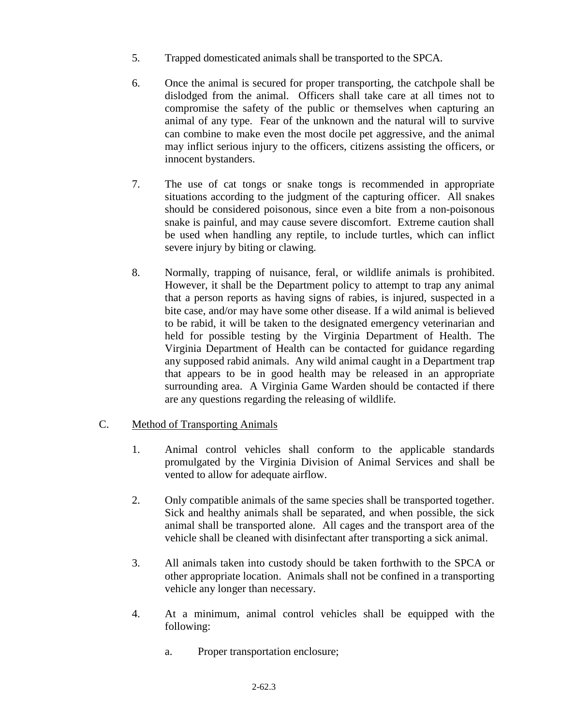- 5. Trapped domesticated animals shall be transported to the SPCA.
- 6. Once the animal is secured for proper transporting, the catchpole shall be dislodged from the animal. Officers shall take care at all times not to compromise the safety of the public or themselves when capturing an animal of any type. Fear of the unknown and the natural will to survive can combine to make even the most docile pet aggressive, and the animal may inflict serious injury to the officers, citizens assisting the officers, or innocent bystanders.
- 7. The use of cat tongs or snake tongs is recommended in appropriate situations according to the judgment of the capturing officer. All snakes should be considered poisonous, since even a bite from a non-poisonous snake is painful, and may cause severe discomfort. Extreme caution shall be used when handling any reptile, to include turtles, which can inflict severe injury by biting or clawing.
- 8. Normally, trapping of nuisance, feral, or wildlife animals is prohibited. However, it shall be the Department policy to attempt to trap any animal that a person reports as having signs of rabies, is injured, suspected in a bite case, and/or may have some other disease. If a wild animal is believed to be rabid, it will be taken to the designated emergency veterinarian and held for possible testing by the Virginia Department of Health. The Virginia Department of Health can be contacted for guidance regarding any supposed rabid animals. Any wild animal caught in a Department trap that appears to be in good health may be released in an appropriate surrounding area. A Virginia Game Warden should be contacted if there are any questions regarding the releasing of wildlife.

# C. Method of Transporting Animals

- 1. Animal control vehicles shall conform to the applicable standards promulgated by the Virginia Division of Animal Services and shall be vented to allow for adequate airflow.
- 2. Only compatible animals of the same species shall be transported together. Sick and healthy animals shall be separated, and when possible, the sick animal shall be transported alone. All cages and the transport area of the vehicle shall be cleaned with disinfectant after transporting a sick animal.
- 3. All animals taken into custody should be taken forthwith to the SPCA or other appropriate location. Animals shall not be confined in a transporting vehicle any longer than necessary.
- 4. At a minimum, animal control vehicles shall be equipped with the following:
	- a. Proper transportation enclosure;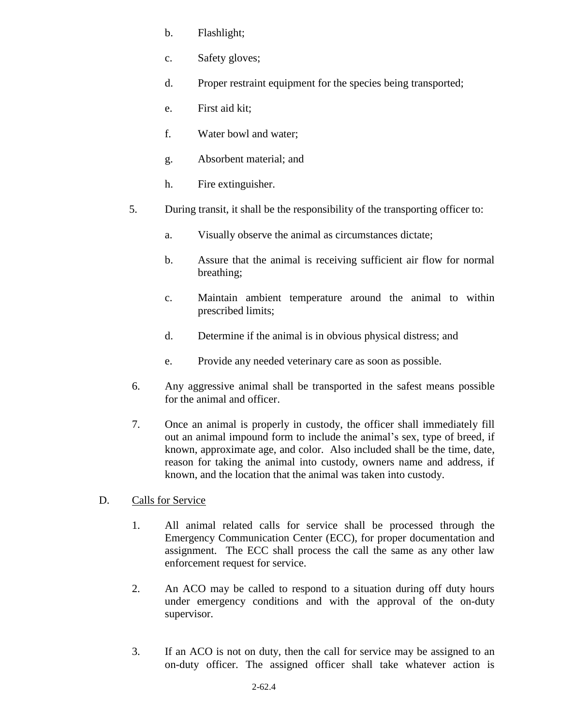- b. Flashlight;
- c. Safety gloves;
- d. Proper restraint equipment for the species being transported;
- e. First aid kit;
- f. Water bowl and water;
- g. Absorbent material; and
- h. Fire extinguisher.
- 5. During transit, it shall be the responsibility of the transporting officer to:
	- a. Visually observe the animal as circumstances dictate;
	- b. Assure that the animal is receiving sufficient air flow for normal breathing;
	- c. Maintain ambient temperature around the animal to within prescribed limits;
	- d. Determine if the animal is in obvious physical distress; and
	- e. Provide any needed veterinary care as soon as possible.
- 6. Any aggressive animal shall be transported in the safest means possible for the animal and officer.
- 7. Once an animal is properly in custody, the officer shall immediately fill out an animal impound form to include the animal's sex, type of breed, if known, approximate age, and color. Also included shall be the time, date, reason for taking the animal into custody, owners name and address, if known, and the location that the animal was taken into custody.
- D. Calls for Service
	- 1. All animal related calls for service shall be processed through the Emergency Communication Center (ECC), for proper documentation and assignment. The ECC shall process the call the same as any other law enforcement request for service.
	- 2. An ACO may be called to respond to a situation during off duty hours under emergency conditions and with the approval of the on-duty supervisor.
	- 3. If an ACO is not on duty, then the call for service may be assigned to an on-duty officer. The assigned officer shall take whatever action is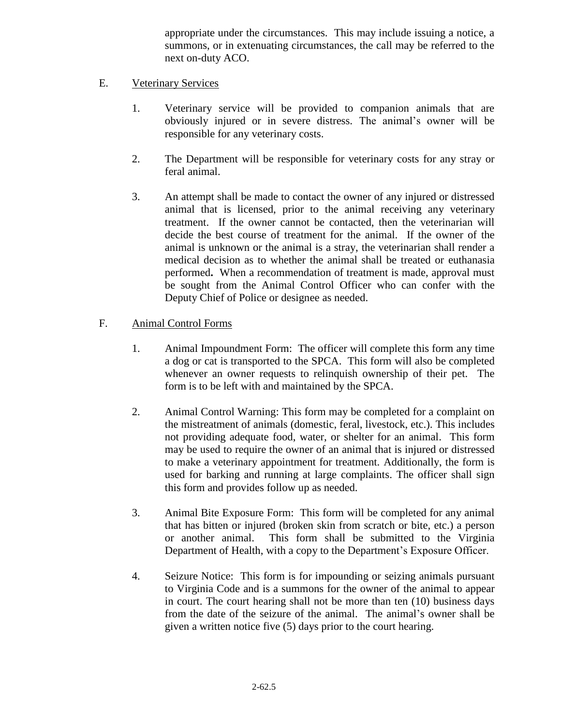appropriate under the circumstances. This may include issuing a notice, a summons, or in extenuating circumstances, the call may be referred to the next on-duty ACO.

# E. Veterinary Services

- 1. Veterinary service will be provided to companion animals that are obviously injured or in severe distress. The animal's owner will be responsible for any veterinary costs.
- 2. The Department will be responsible for veterinary costs for any stray or feral animal.
- 3. An attempt shall be made to contact the owner of any injured or distressed animal that is licensed, prior to the animal receiving any veterinary treatment. If the owner cannot be contacted, then the veterinarian will decide the best course of treatment for the animal. If the owner of the animal is unknown or the animal is a stray, the veterinarian shall render a medical decision as to whether the animal shall be treated or euthanasia performed**.** When a recommendation of treatment is made, approval must be sought from the Animal Control Officer who can confer with the Deputy Chief of Police or designee as needed.

## F. Animal Control Forms

- 1. Animal Impoundment Form: The officer will complete this form any time a dog or cat is transported to the SPCA. This form will also be completed whenever an owner requests to relinquish ownership of their pet. The form is to be left with and maintained by the SPCA.
- 2. Animal Control Warning: This form may be completed for a complaint on the mistreatment of animals (domestic, feral, livestock, etc.). This includes not providing adequate food, water, or shelter for an animal.This form may be used to require the owner of an animal that is injured or distressed to make a veterinary appointment for treatment. Additionally, the form is used for barking and running at large complaints. The officer shall sign this form and provides follow up as needed.
- 3. Animal Bite Exposure Form: This form will be completed for any animal that has bitten or injured (broken skin from scratch or bite, etc.) a person or another animal. This form shall be submitted to the Virginia Department of Health, with a copy to the Department's Exposure Officer.
- 4. Seizure Notice: This form is for impounding or seizing animals pursuant to Virginia Code and is a summons for the owner of the animal to appear in court. The court hearing shall not be more than ten (10) business days from the date of the seizure of the animal. The animal's owner shall be given a written notice five (5) days prior to the court hearing.